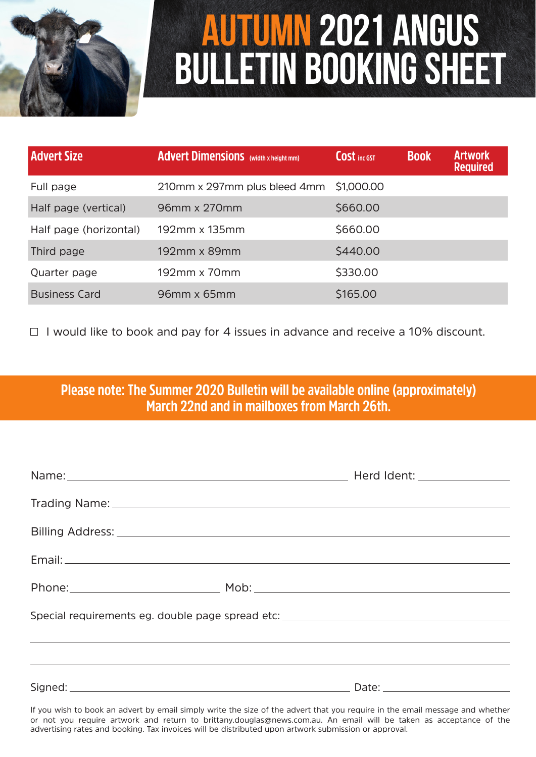

# **Autumn 2021 Angus Bulletin BOOKING SHEET**

| <b>Advert Size</b>     | <b>Advert Dimensions</b> (width x height mm) | <b>COSt</b> inc GST | <b>Book</b> | <b>Artwork</b><br><b>Required</b> |
|------------------------|----------------------------------------------|---------------------|-------------|-----------------------------------|
| Full page              | 210mm x 297mm plus bleed 4mm                 | \$1,000.00          |             |                                   |
| Half page (vertical)   | 96mm x 270mm                                 | \$660.00            |             |                                   |
| Half page (horizontal) | 192mm x 135mm                                | \$660.00            |             |                                   |
| Third page             | 192mm x 89mm                                 | \$440.00            |             |                                   |
| Quarter page           | 192mm x 70mm                                 | \$330.00            |             |                                   |
| <b>Business Card</b>   | $96$ mm x 65mm                               | \$165.00            |             |                                   |

 $\Box$  I would like to book and pay for 4 issues in advance and receive a 10% discount.

## **Please note: The Summer 2020 Bulletin will be available online (approximately) March 22nd and in mailboxes from March 26th.**

| Special requirements eg. double page spread etc: _______________________________ |  |  |  |  |  |
|----------------------------------------------------------------------------------|--|--|--|--|--|
|                                                                                  |  |  |  |  |  |
|                                                                                  |  |  |  |  |  |
|                                                                                  |  |  |  |  |  |

If you wish to book an advert by email simply write the size of the advert that you require in the email message and whether or not you require artwork and return to brittany.douglas@news.com.au. An email will be taken as acceptance of the advertising rates and booking. Tax invoices will be distributed upon artwork submission or approval.